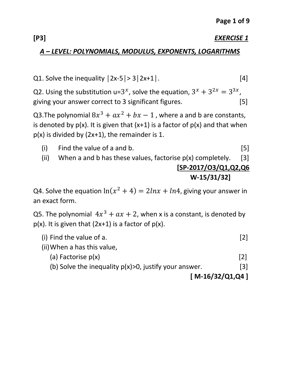#### **[P3]** *EXERCISE 1*

#### *A – LEVEL: POLYNOMIALS, MODULUS, EXPONENTS, LOGARITHMS*

Q1. Solve the inequality  $|2x-5| > 3|2x+1|$ . [4]

Q2. Using the substitution u=3<sup>x</sup>, solve the equation,  $3^x + 3^{2x} = 3^{3x}$ , giving your answer correct to 3 significant figures. [5]

Q3.The polynomial  $8x^3 + ax^2 + bx - 1$  , where a and b are constants, is denoted by  $p(x)$ . It is given that  $(x+1)$  is a factor of  $p(x)$  and that when p(x) is divided by (2x+1), the remainder is 1.

(i) Find the value of a and b.  $[5]$ (ii) When a and b has these values, factorise  $p(x)$  completely. [3]

## **[SP-2017/O3/Q1,Q2,Q6 W-15/31/32]**

Q4. Solve the equation  $ln(x^2 + 4) = 2lnx + ln4$ , giving your answer in an exact form.

Q5. The polynomial  $4x^3 + ax + 2$ , when x is a constant, is denoted by  $p(x)$ . It is given that  $(2x+1)$  is a factor of  $p(x)$ .

- (i) Find the value of a.  $[2]$
- (ii)When a has this value,
	- (a) Factorise  $p(x)$  [2]
	- (b) Solve the inequality  $p(x) > 0$ , justify your answer. [3]

 **<sup>[</sup> M-16/32/Q1,Q4 ]**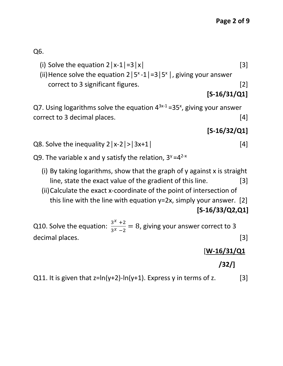Q6.

- (i) Solve the equation  $2|x-1|=3|x|$  [3]
- (ii) Hence solve the equation  $2|5^{x}-1|=3|5^{x}|$ , giving your answer correct to 3 significant figures. [2]

```
 [S-16/31/Q1]
```
Q7. Using logarithms solve the equation  $4^{3x-1}$  =35<sup>x</sup>, giving your answer correct to 3 decimal places. [4]

## **[S-16/32/Q1]**

- Q8. Solve the inequality  $2|x-2| > |3x+1|$  [4]
- Q9. The variable x and y satisfy the relation,  $3^y=4^{2-x}$ 
	- (i) By taking logarithms, show that the graph of y against x is straight line, state the exact value of the gradient of this line. [3]
	- (ii)Calculate the exact x-coordinate of the point of intersection of this line with the line with equation  $y=2x$ , simply your answer. [2]  **[S-16/33/Q2,Q1]**

Q10. Solve the equation:  $\frac{3^x + 2^x}{2^x - 3^x}$  $\frac{3}{3^{x}-2}$  = 8, giving your answer correct to 3 decimal places. [3]

### [**W-16/31/Q1**

## **/32/]**

Q11. It is given that  $z=ln(y+2)-ln(y+1)$ . Express y in terms of z. [3]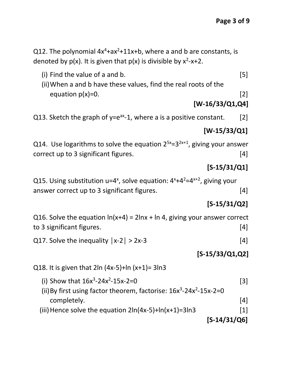Q12. The polynomial  $4x^4+ax^2+11x+b$ , where a and b are constants, is denoted by  $p(x)$ . It is given that  $p(x)$  is divisible by  $x^2$ -x+2.

- (i) Find the value of a and b.  $[5]$
- (ii)When a and b have these values, find the real roots of the equation  $p(x)=0$ . [2]

#### **[W-16/33/Q1,Q4]**

Q13. Sketch the graph of  $y=e^{ax}-1$ , where a is a positive constant. [2]

#### **[W-15/33/Q1]**

Q14. Use logarithms to solve the equation  $2^{5x}=3^{2x+1}$ , giving your answer correct up to 3 significant figures. [4]

#### **[S-15/31/Q1]**

Q15. Using substitution  $u=4^x$ , solve equation:  $4^x+4^2=4^{x+2}$ , giving your answer correct up to 3 significant figures. [4]

### **[S-15/31/Q2]**

Q16. Solve the equation  $ln(x+4) = 2lnx + ln 4$ , giving your answer correct to 3 significant figures. [4]

Q17. Solve the inequality  $|x-2| > 2x-3$  [4]

### **[S-15/33/Q1,Q2]**

Q18. It is given that  $2\ln(4x-5)+\ln(x+1)=3\ln 3$ 

- (i) Show that  $16x^3-24x^2-15x-2=0$  [3]
- (ii) By first using factor theorem, factorise:  $16x^3 24x^2 15x 2 = 0$ completely. [4]
- (iii) Hence solve the equation  $2\ln(4x-5)+\ln(x+1)=3\ln 3$  [1]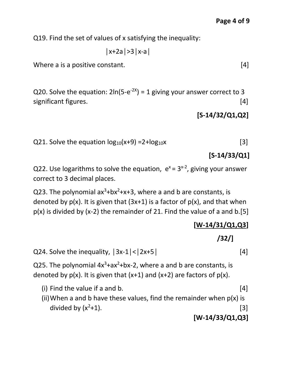Q19. Find the set of values of x satisfying the inequality:

│x+2a│>3│x-a│

Where a is a positive constant. [4]

Q20. Solve the equation:  $2\ln(5-e^{-2x}) = 1$  giving your answer correct to 3 significant figures. [4]

**[S-14/32/Q1,Q2]**

Q21. Solve the equation 
$$
\log_{10}(x+9) = 2 + \log_{10}x
$$
 [3]

 **[S-14/33/Q1]**

Q22. Use logarithms to solve the equation,  $e^{x} = 3^{x-2}$ , giving your answer correct to 3 decimal places.

Q23. The polynomial  $ax^3+bx^2+x+3$ , where a and b are constants, is denoted by  $p(x)$ . It is given that  $(3x+1)$  is a factor of  $p(x)$ , and that when  $p(x)$  is divided by (x-2) the remainder of 21. Find the value of a and b.[5]

```
 [W-14/31/Q1,Q3]
```
 **/32/]**

Q24. Solve the inequality,  $|3x-1|<|2x+5|$  [4]

Q25. The polynomial  $4x^3+ax^2+bx-2$ , where a and b are constants, is denoted by  $p(x)$ . It is given that  $(x+1)$  and  $(x+2)$  are factors of  $p(x)$ .

(i) Find the value if a and b.  $[4]$ (ii) When a and b have these values, find the remainder when  $p(x)$  is divided by  $(x^2+1)$ . [3]

 **[W-14/33/Q1,Q3]**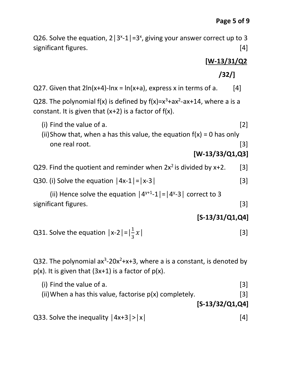Q26. Solve the equation,  $2|3^{x}-1|=3^{x}$ , giving your answer correct up to 3 significant figures. [4]

## **[W-13/31/Q2**

 **/32/]**

Q27. Given that  $2\ln(x+4)$ -lnx =  $\ln(x+a)$ , express x in terms of a. [4]

Q28. The polynomial f(x) is defined by  $f(x)=x^3+ax^2-ax+14$ , where a is a constant. It is given that  $(x+2)$  is a factor of  $f(x)$ .

- (i) Find the value of a.  $[2]$
- (ii)Show that, when a has this value, the equation  $f(x) = 0$  has only one real root. [3]

```
 [W-13/33/Q1,Q3]
```
- Q29. Find the quotient and reminder when  $2x^2$  is divided by  $x+2$ . [3]
- Q30. (i) Solve the equation  $|4x-1|=|x-3|$  [3]

(ii) Hence solve the equation  $|4^{y+1}-1|=|4^{y}-3|$  correct to 3 significant figures. [3]

### **[S-13/31/Q1,Q4]**

Q31. Solve the equation 
$$
|x-2| = |\frac{1}{3}x|
$$
 [3]

Q32. The polynomial  $ax^3$ -20 $x^2+x+3$ , where a is a constant, is denoted by  $p(x)$ . It is given that  $(3x+1)$  is a factor of  $p(x)$ .

(i) Find the value of a.  $[3]$ (ii) When a has this value, factorise  $p(x)$  completely. [3]  **[S-13/32/Q1,Q4]**

Q33. Solve the inequality  $|4x+3|>|x|$  [4]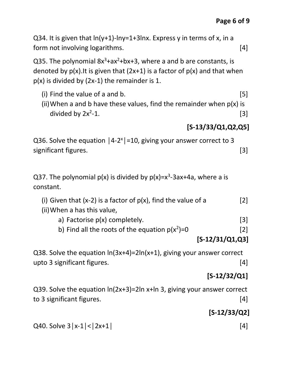Q34. It is given that  $ln(y+1)$ - $ln y=1+3ln x$ . Express y in terms of x, in a form not involving logarithms. [4]

Q35. The polynomial  $8x^3+ax^2+bx+3$ , where a and b are constants, is denoted by  $p(x)$ . It is given that  $(2x+1)$  is a factor of  $p(x)$  and that when  $p(x)$  is divided by (2x-1) the remainder is 1.

- (i) Find the value of a and b.  $[5]$
- (ii) When a and b have these values, find the remainder when  $p(x)$  is divided by  $2x^2-1$ .  $-1.$  [3]

## **[S-13/33/Q1,Q2,Q5]**

Q36. Solve the equation  $|4-2^x|=10$ , giving your answer correct to 3 significant figures. [3]

Q37. The polynomial  $p(x)$  is divided by  $p(x)=x^3-3ax+4a$ , where a is constant.

- (i) Given that  $(x-2)$  is a factor of  $p(x)$ , find the value of a [2]
- (ii)When a has this value,
	- a) Factorise  $p(x)$  completely. [3]
	- b) Find all the roots of the equation  $p(x^2)=0$  [2]

## **[S-12/31/Q1,Q3]**

Q38. Solve the equation ln(3x+4)=2ln(x+1), giving your answer correct upto 3 significant figures. [4]

# **[S-12/32/Q1]**

Q39. Solve the equation ln(2x+3)=2ln x+ln 3, giving your answer correct to 3 significant figures. [4]

# **[S-12/33/Q2]**

Q40. Solve  $3|x-1| < |2x+1|$  [4]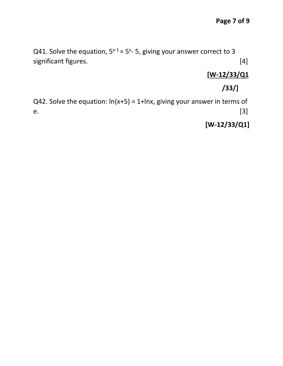Q41. Solve the equation,  $5^{x-1}$  = 5<sup>x</sup>-5, giving your answer correct to 3 significant figures. [4]

## **[W-12/33/Q1**

## **/33/]**

Q42. Solve the equation:  $ln(x+5) = 1+lnx$ , giving your answer in terms of e.  $[3]$ 

## **[W-12/33/Q1]**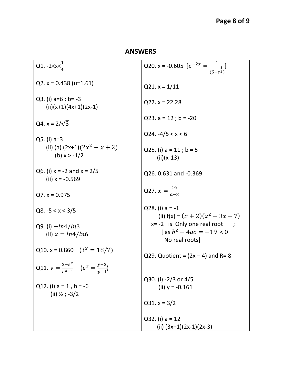# **Page 8 of 9**

## **ANSWERS**

| Q1. -2 $\ltimes x \lt \frac{1}{4}$                       | Q20. x = -0.605 $[e^{-2x} = \frac{1}{1}]$<br>$(5 - e^{\frac{1}{2}})$                |
|----------------------------------------------------------|-------------------------------------------------------------------------------------|
| Q2. $x = 0.438$ (u=1.61)                                 | $Q21. x = 1/11$                                                                     |
| Q3. (i) $a=6$ ; $b=-3$<br>$(ii)(x+1)(4x+1)(2x-1)$        | $Q22. x = 22.28$                                                                    |
| Q4. $x = 2/\sqrt{3}$                                     | Q23. $a = 12$ ; $b = -20$                                                           |
| $Q5.$ (i) a=3                                            | $Q24. -4/5 < x < 6$                                                                 |
| (ii) (a) $(2x+1)(2x^2 - x + 2)$<br>(b) $x > -1/2$        | Q25. (i) $a = 11$ ; $b = 5$<br>$(ii)(x-13)$                                         |
| Q6. (i) $x = -2$ and $x = 2/5$<br>(ii) $x = -0.569$      | Q26.0.631 and -0.369                                                                |
| $Q7. x = 0.975$                                          | Q27. $x = \frac{16}{a-8}$                                                           |
| Q8. $-5 < x < 3/5$                                       | Q28. (i) $a = -1$<br>(ii) $f(x) = (x + 2)(x^2 - 3x + 7)$                            |
| Q9. (i) $-ln4/ln3$<br>(ii) $x = ln4/ln6$                 | $x = -2$ is Only one real root<br>$\int$ as $b^2 - 4ac = -19 < 0$<br>No real roots] |
| Q10. x = 0.860 $(3^x = 18/7)$                            | Q29. Quotient = $(2x – 4)$ and R= 8                                                 |
| Q11. $y = \frac{2-e^z}{e^z-1}$ $(e^z = \frac{y+2}{y+1})$ |                                                                                     |
| Q12. (i) $a = 1$ , $b = -6$<br>(ii) $\frac{1}{2}$ ; -3/2 | Q30. (i) -2/3 or 4/5<br>(ii) $y = -0.161$                                           |
|                                                          | $Q31. x = 3/2$                                                                      |
|                                                          | $Q32. (i) a = 12$                                                                   |
|                                                          | (ii) $(3x+1)(2x-1)(2x-3)$                                                           |